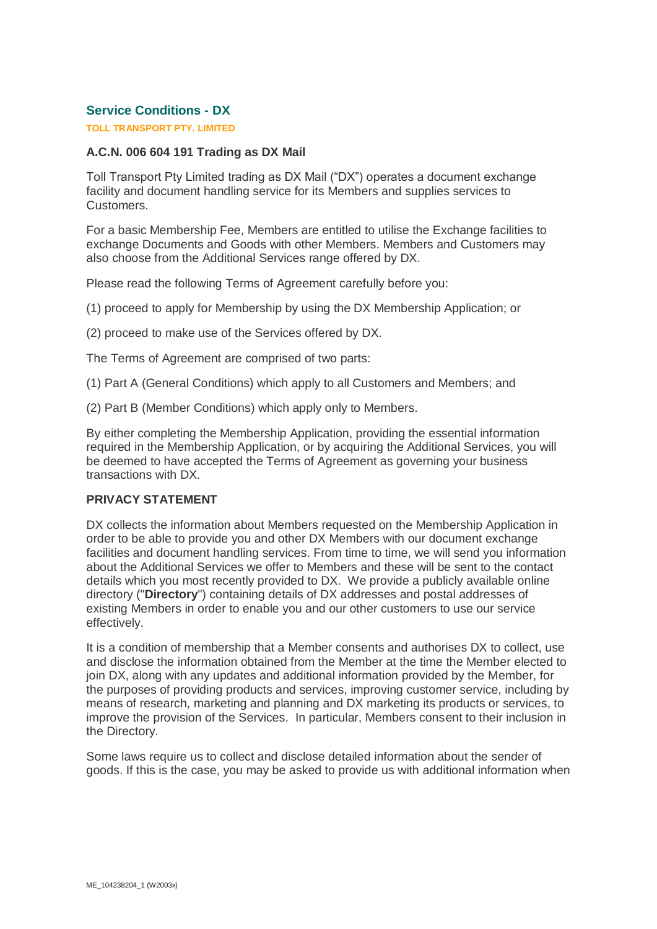# **Service Conditions - DX**

# **TOLL TRANSPORT PTY. LIMITED**

# **A.C.N. 006 604 191 Trading as DX Mail**

Toll Transport Pty Limited trading as DX Mail ("DX") operates a document exchange facility and document handling service for its Members and supplies services to Customers.

For a basic Membership Fee, Members are entitled to utilise the Exchange facilities to exchange Documents and Goods with other Members. Members and Customers may also choose from the Additional Services range offered by DX.

Please read the following Terms of Agreement carefully before you:

(1) proceed to apply for Membership by using the DX Membership Application; or

(2) proceed to make use of the Services offered by DX.

The Terms of Agreement are comprised of two parts:

- (1) Part A (General Conditions) which apply to all Customers and Members; and
- (2) Part B (Member Conditions) which apply only to Members.

By either completing the Membership Application, providing the essential information required in the Membership Application, or by acquiring the Additional Services, you will be deemed to have accepted the Terms of Agreement as governing your business transactions with DX.

# **PRIVACY STATEMENT**

DX collects the information about Members requested on the Membership Application in order to be able to provide you and other DX Members with our document exchange facilities and document handling services. From time to time, we will send you information about the Additional Services we offer to Members and these will be sent to the contact details which you most recently provided to DX. We provide a publicly available online directory ("**Directory**") containing details of DX addresses and postal addresses of existing Members in order to enable you and our other customers to use our service effectively.

It is a condition of membership that a Member consents and authorises DX to collect, use and disclose the information obtained from the Member at the time the Member elected to join DX, along with any updates and additional information provided by the Member, for the purposes of providing products and services, improving customer service, including by means of research, marketing and planning and DX marketing its products or services, to improve the provision of the Services. In particular, Members consent to their inclusion in the Directory.

Some laws require us to collect and disclose detailed information about the sender of goods. If this is the case, you may be asked to provide us with additional information when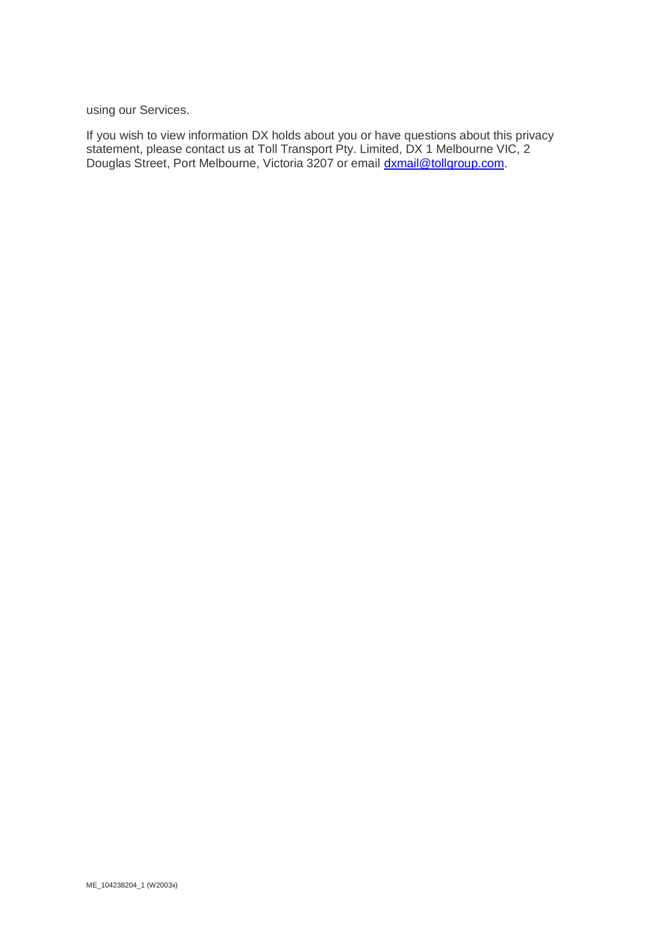using our Services.

If you wish to view information DX holds about you or have questions about this privacy statement, please contact us at Toll Transport Pty. Limited, DX 1 Melbourne VIC, 2 Douglas Street, Port Melbourne, Victoria 3207 or email *dxmail@tollgroup.com.*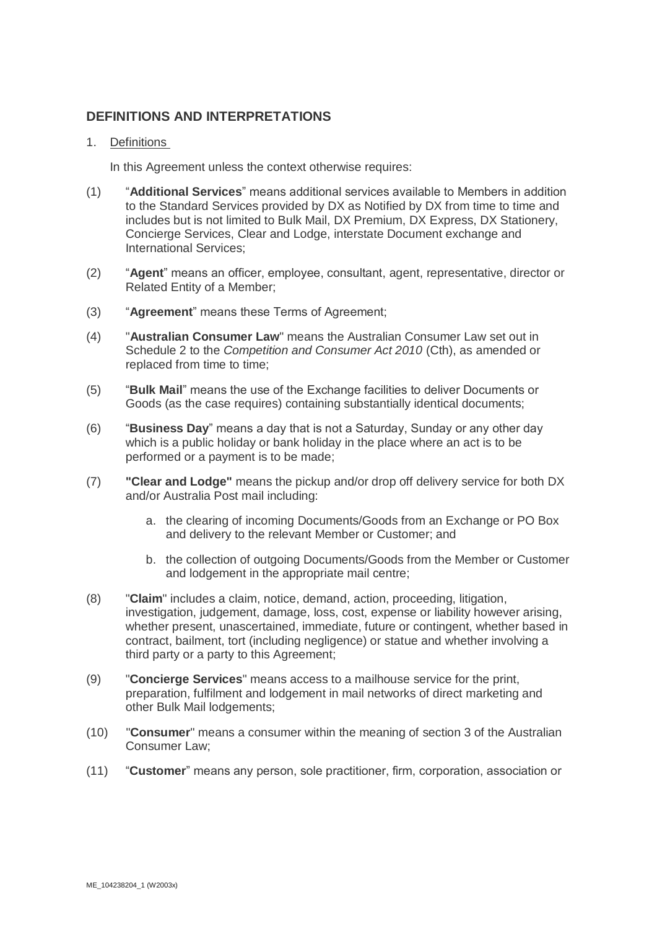# **DEFINITIONS AND INTERPRETATIONS**

# 1. Definitions

In this Agreement unless the context otherwise requires:

- (1) "**Additional Services**" means additional services available to Members in addition to the Standard Services provided by DX as Notified by DX from time to time and includes but is not limited to Bulk Mail, DX Premium, DX Express, DX Stationery, Concierge Services, Clear and Lodge, interstate Document exchange and International Services;
- (2) "**Agent**" means an officer, employee, consultant, agent, representative, director or Related Entity of a Member;
- (3) "**Agreement**" means these Terms of Agreement;
- (4) "**Australian Consumer Law**" means the Australian Consumer Law set out in Schedule 2 to the *Competition and Consumer Act 2010* (Cth), as amended or replaced from time to time;
- (5) "**Bulk Mail**" means the use of the Exchange facilities to deliver Documents or Goods (as the case requires) containing substantially identical documents;
- (6) "**Business Day**" means a day that is not a Saturday, Sunday or any other day which is a public holiday or bank holiday in the place where an act is to be performed or a payment is to be made;
- (7) **"Clear and Lodge"** means the pickup and/or drop off delivery service for both DX and/or Australia Post mail including:
	- a. the clearing of incoming Documents/Goods from an Exchange or PO Box and delivery to the relevant Member or Customer; and
	- b. the collection of outgoing Documents/Goods from the Member or Customer and lodgement in the appropriate mail centre;
- (8) "**Claim**" includes a claim, notice, demand, action, proceeding, litigation, investigation, judgement, damage, loss, cost, expense or liability however arising, whether present, unascertained, immediate, future or contingent, whether based in contract, bailment, tort (including negligence) or statue and whether involving a third party or a party to this Agreement;
- (9) "**Concierge Services**" means access to a mailhouse service for the print, preparation, fulfilment and lodgement in mail networks of direct marketing and other Bulk Mail lodgements;
- (10) "**Consumer**" means a consumer within the meaning of section 3 of the Australian Consumer Law;
- (11) "**Customer**" means any person, sole practitioner, firm, corporation, association or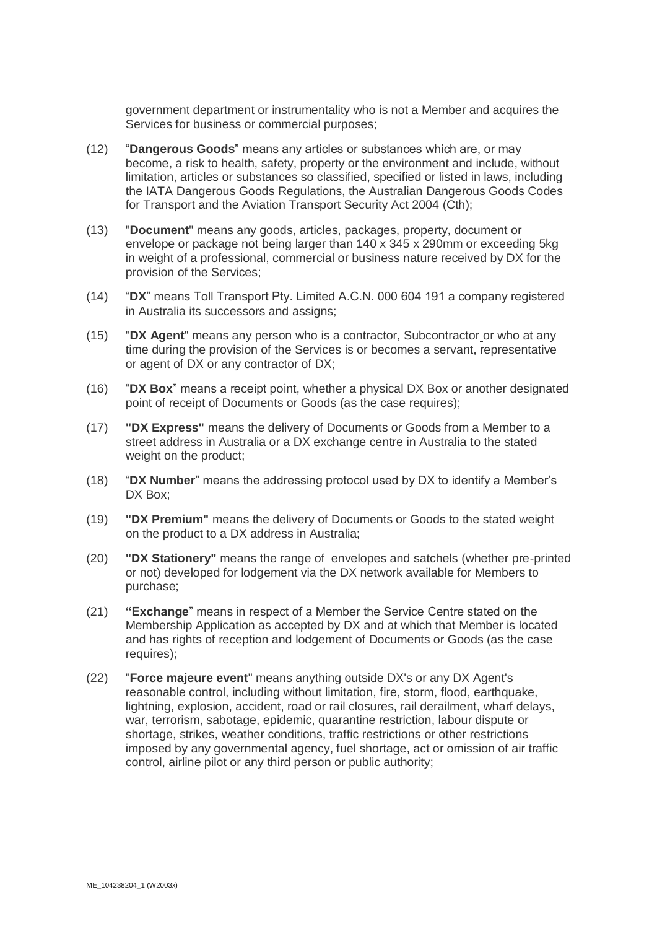government department or instrumentality who is not a Member and acquires the Services for business or commercial purposes;

- (12) "**Dangerous Goods**" means any articles or substances which are, or may become, a risk to health, safety, property or the environment and include, without limitation, articles or substances so classified, specified or listed in laws, including the IATA Dangerous Goods Regulations, the Australian Dangerous Goods Codes for Transport and the Aviation Transport Security Act 2004 (Cth);
- (13) "**Document**" means any goods, articles, packages, property, document or envelope or package not being larger than 140 x 345 x 290mm or exceeding 5kg in weight of a professional, commercial or business nature received by DX for the provision of the Services;
- (14) "**DX**" means Toll Transport Pty. Limited A.C.N. 000 604 191 a company registered in Australia its successors and assigns;
- (15) "**DX Agent**" means any person who is a contractor, Subcontractor or who at any time during the provision of the Services is or becomes a servant, representative or agent of DX or any contractor of DX;
- (16) "**DX Box**" means a receipt point, whether a physical DX Box or another designated point of receipt of Documents or Goods (as the case requires);
- (17) **"DX Express"** means the delivery of Documents or Goods from a Member to a street address in Australia or a DX exchange centre in Australia to the stated weight on the product;
- (18) "**DX Number**" means the addressing protocol used by DX to identify a Member's DX Box:
- (19) **"DX Premium"** means the delivery of Documents or Goods to the stated weight on the product to a DX address in Australia;
- (20) **"DX Stationery"** means the range of envelopes and satchels (whether pre-printed or not) developed for lodgement via the DX network available for Members to purchase;
- (21) **"Exchange**" means in respect of a Member the Service Centre stated on the Membership Application as accepted by DX and at which that Member is located and has rights of reception and lodgement of Documents or Goods (as the case requires);
- (22) "**Force majeure event**" means anything outside DX's or any DX Agent's reasonable control, including without limitation, fire, storm, flood, earthquake, lightning, explosion, accident, road or rail closures, rail derailment, wharf delays, war, terrorism, sabotage, epidemic, quarantine restriction, labour dispute or shortage, strikes, weather conditions, traffic restrictions or other restrictions imposed by any governmental agency, fuel shortage, act or omission of air traffic control, airline pilot or any third person or public authority;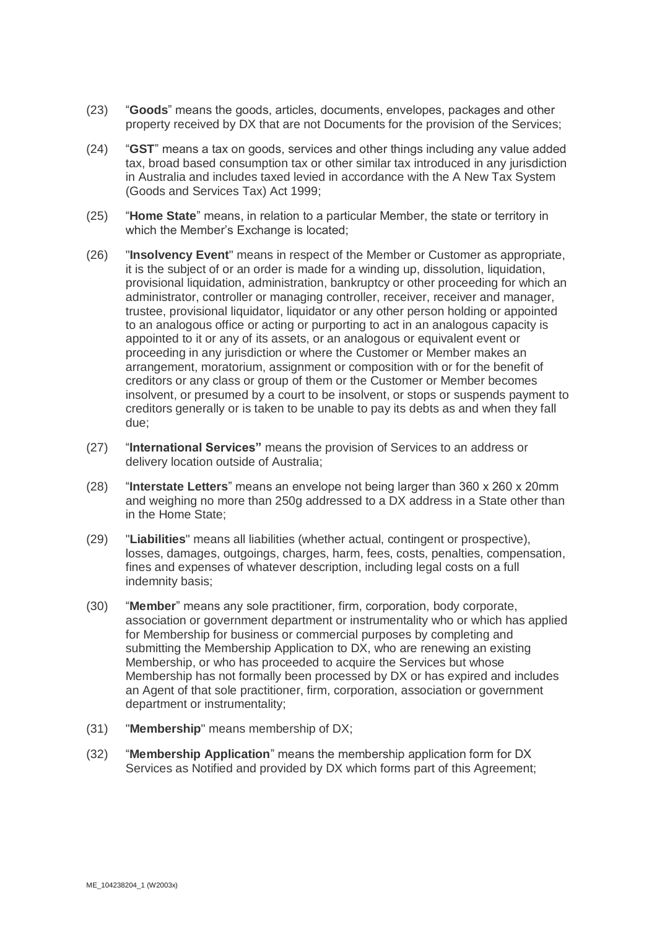- (23) "**Goods**" means the goods, articles, documents, envelopes, packages and other property received by DX that are not Documents for the provision of the Services;
- (24) "**GST**" means a tax on goods, services and other things including any value added tax, broad based consumption tax or other similar tax introduced in any jurisdiction in Australia and includes taxed levied in accordance with the A New Tax System (Goods and Services Tax) Act 1999;
- (25) "**Home State**" means, in relation to a particular Member, the state or territory in which the Member's Exchange is located;
- (26) "**Insolvency Event**" means in respect of the Member or Customer as appropriate, it is the subject of or an order is made for a winding up, dissolution, liquidation, provisional liquidation, administration, bankruptcy or other proceeding for which an administrator, controller or managing controller, receiver, receiver and manager, trustee, provisional liquidator, liquidator or any other person holding or appointed to an analogous office or acting or purporting to act in an analogous capacity is appointed to it or any of its assets, or an analogous or equivalent event or proceeding in any jurisdiction or where the Customer or Member makes an arrangement, moratorium, assignment or composition with or for the benefit of creditors or any class or group of them or the Customer or Member becomes insolvent, or presumed by a court to be insolvent, or stops or suspends payment to creditors generally or is taken to be unable to pay its debts as and when they fall due;
- (27) "**International Services"** means the provision of Services to an address or delivery location outside of Australia;
- (28) "**Interstate Letters**" means an envelope not being larger than 360 x 260 x 20mm and weighing no more than 250g addressed to a DX address in a State other than in the Home State;
- (29) "**Liabilities**" means all liabilities (whether actual, contingent or prospective), losses, damages, outgoings, charges, harm, fees, costs, penalties, compensation, fines and expenses of whatever description, including legal costs on a full indemnity basis;
- (30) "**Member**" means any sole practitioner, firm, corporation, body corporate, association or government department or instrumentality who or which has applied for Membership for business or commercial purposes by completing and submitting the Membership Application to DX, who are renewing an existing Membership, or who has proceeded to acquire the Services but whose Membership has not formally been processed by DX or has expired and includes an Agent of that sole practitioner, firm, corporation, association or government department or instrumentality;
- (31) "**Membership**" means membership of DX;
- (32) "**Membership Application**" means the membership application form for DX Services as Notified and provided by DX which forms part of this Agreement;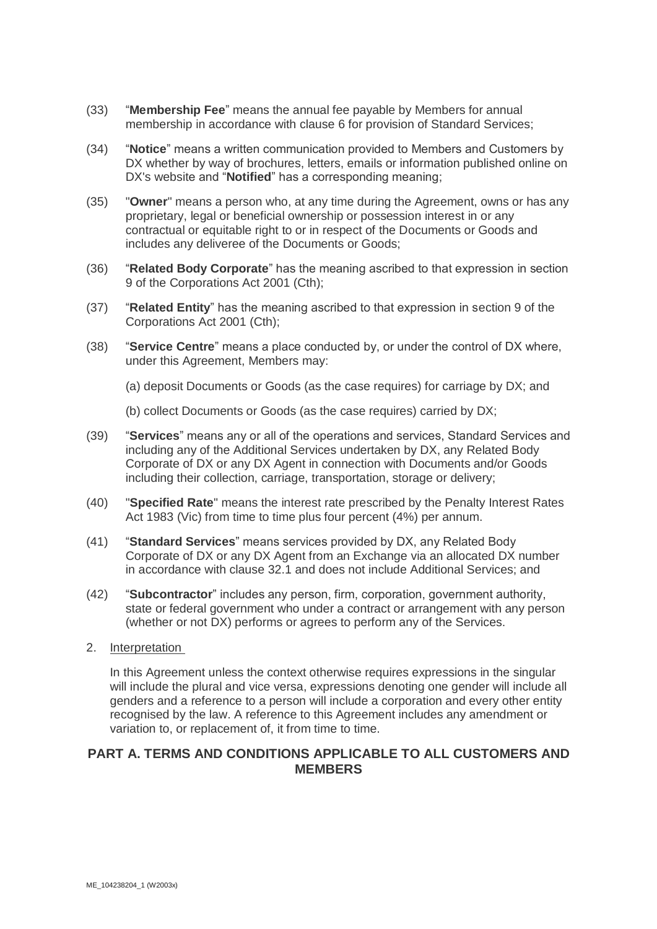- (33) "**Membership Fee**" means the annual fee payable by Members for annual membership in accordance with clause [6](#page-7-0) for provision of Standard Services;
- (34) "**Notice**" means a written communication provided to Members and Customers by DX whether by way of brochures, letters, emails or information published online on DX's website and "**Notified**" has a corresponding meaning;
- (35) "**Owner**" means a person who, at any time during the Agreement, owns or has any proprietary, legal or beneficial ownership or possession interest in or any contractual or equitable right to or in respect of the Documents or Goods and includes any deliveree of the Documents or Goods;
- (36) "**Related Body Corporate**" has the meaning ascribed to that expression in section 9 of the Corporations Act 2001 (Cth);
- (37) "**Related Entity**" has the meaning ascribed to that expression in section 9 of the Corporations Act 2001 (Cth);
- (38) "**Service Centre**" means a place conducted by, or under the control of DX where, under this Agreement, Members may:
	- (a) deposit Documents or Goods (as the case requires) for carriage by DX; and
	- (b) collect Documents or Goods (as the case requires) carried by DX;
- (39) "**Services**" means any or all of the operations and services, Standard Services and including any of the Additional Services undertaken by DX, any Related Body Corporate of DX or any DX Agent in connection with Documents and/or Goods including their collection, carriage, transportation, storage or delivery;
- (40) "**Specified Rate**" means the interest rate prescribed by the Penalty Interest Rates Act 1983 (Vic) from time to time plus four percent (4%) per annum.
- (41) "**Standard Services**" means services provided by DX, any Related Body Corporate of DX or any DX Agent from an Exchange via an allocated DX number in accordance with clause [32.1](#page-17-0) and does not include Additional Services; and
- (42) "**Subcontractor**" includes any person, firm, corporation, government authority, state or federal government who under a contract or arrangement with any person (whether or not DX) performs or agrees to perform any of the Services.
- 2. Interpretation

In this Agreement unless the context otherwise requires expressions in the singular will include the plural and vice versa, expressions denoting one gender will include all genders and a reference to a person will include a corporation and every other entity recognised by the law. A reference to this Agreement includes any amendment or variation to, or replacement of, it from time to time.

# **PART A. TERMS AND CONDITIONS APPLICABLE TO ALL CUSTOMERS AND MEMBERS**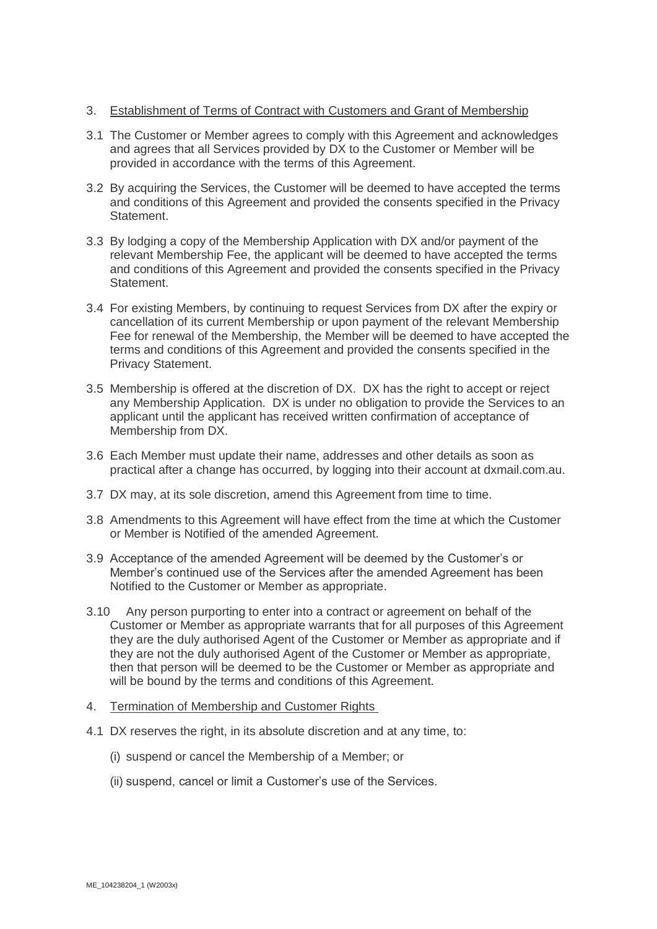# 3. Establishment of Terms of Contract with Customers and Grant of Membership

- 3.1 The Customer or Member agrees to comply with this Agreement and acknowledges and agrees that all Services provided by DX to the Customer or Member will be provided in accordance with the terms of this Agreement.
- 3.2 By acquiring the Services, the Customer will be deemed to have accepted the terms and conditions of this Agreement and provided the consents specified in the Privacy Statement.
- 3.3 By lodging a copy of the Membership Application with DX and/or payment of the relevant Membership Fee, the applicant will be deemed to have accepted the terms and conditions of this Agreement and provided the consents specified in the Privacy Statement.
- 3.4 For existing Members, by continuing to request Services from DX after the expiry or cancellation of its current Membership or upon payment of the relevant Membership Fee for renewal of the Membership, the Member will be deemed to have accepted the terms and conditions of this Agreement and provided the consents specified in the Privacy Statement.
- 3.5 Membership is offered at the discretion of DX. DX has the right to accept or reject any Membership Application. DX is under no obligation to provide the Services to an applicant until the applicant has received written confirmation of acceptance of Membership from DX.
- 3.6 Each Member must update their name, addresses and other details as soon as practical after a change has occurred, by logging into their account at dxmail.com.au.
- 3.7 DX may, at its sole discretion, amend this Agreement from time to time.
- 3.8 Amendments to this Agreement will have effect from the time at which the Customer or Member is Notified of the amended Agreement.
- 3.9 Acceptance of the amended Agreement will be deemed by the Customer's or Member's continued use of the Services after the amended Agreement has been Notified to the Customer or Member as appropriate.
- 3.10 Any person purporting to enter into a contract or agreement on behalf of the Customer or Member as appropriate warrants that for all purposes of this Agreement they are the duly authorised Agent of the Customer or Member as appropriate and if they are not the duly authorised Agent of the Customer or Member as appropriate, then that person will be deemed to be the Customer or Member as appropriate and will be bound by the terms and conditions of this Agreement.
- 4. Termination of Membership and Customer Rights
- 4.1 DX reserves the right, in its absolute discretion and at any time, to:
	- (i) suspend or cancel the Membership of a Member; or
	- (ii) suspend, cancel or limit a Customer's use of the Services.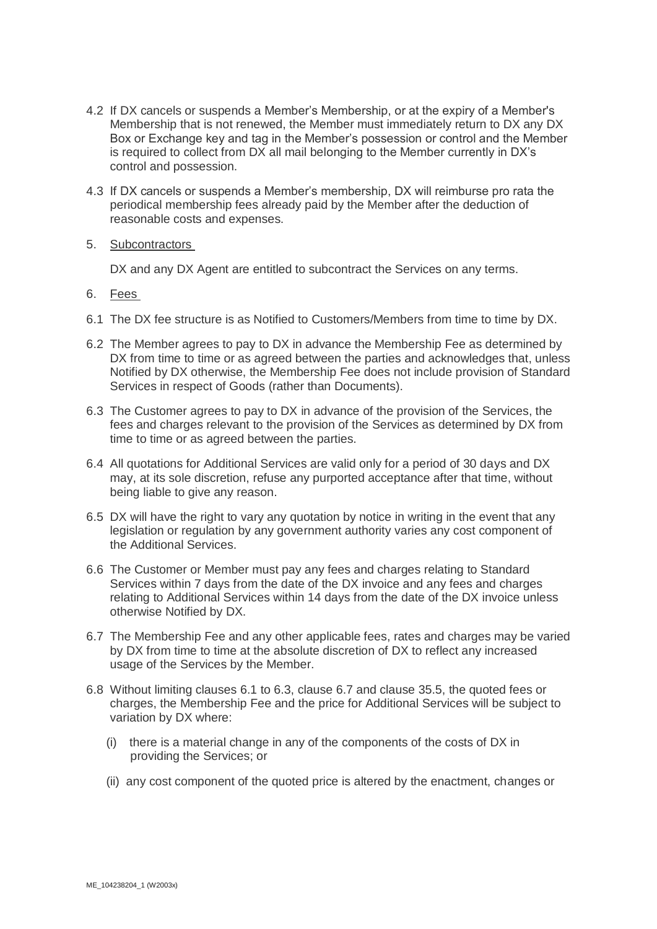- 4.2 If DX cancels or suspends a Member's Membership, or at the expiry of a Member's Membership that is not renewed, the Member must immediately return to DX any DX Box or Exchange key and tag in the Member's possession or control and the Member is required to collect from DX all mail belonging to the Member currently in DX's control and possession.
- 4.3 If DX cancels or suspends a Member's membership, DX will reimburse pro rata the periodical membership fees already paid by the Member after the deduction of reasonable costs and expenses.
- 5. Subcontractors

DX and any DX Agent are entitled to subcontract the Services on any terms.

- <span id="page-7-0"></span>6. Fees
- <span id="page-7-1"></span>6.1 The DX fee structure is as Notified to Customers/Members from time to time by DX.
- 6.2 The Member agrees to pay to DX in advance the Membership Fee as determined by DX from time to time or as agreed between the parties and acknowledges that, unless Notified by DX otherwise, the Membership Fee does not include provision of Standard Services in respect of Goods (rather than Documents).
- <span id="page-7-2"></span>6.3 The Customer agrees to pay to DX in advance of the provision of the Services, the fees and charges relevant to the provision of the Services as determined by DX from time to time or as agreed between the parties.
- 6.4 All quotations for Additional Services are valid only for a period of 30 days and DX may, at its sole discretion, refuse any purported acceptance after that time, without being liable to give any reason.
- 6.5 DX will have the right to vary any quotation by notice in writing in the event that any legislation or regulation by any government authority varies any cost component of the Additional Services.
- 6.6 The Customer or Member must pay any fees and charges relating to Standard Services within 7 days from the date of the DX invoice and any fees and charges relating to Additional Services within 14 days from the date of the DX invoice unless otherwise Notified by DX.
- <span id="page-7-3"></span>6.7 The Membership Fee and any other applicable fees, rates and charges may be varied by DX from time to time at the absolute discretion of DX to reflect any increased usage of the Services by the Member.
- 6.8 Without limiting clauses [6.1](#page-7-1) to [6.3,](#page-7-2) clause [6.7](#page-7-3) and clause [35.5,](#page-19-0) the quoted fees or charges, the Membership Fee and the price for Additional Services will be subject to variation by DX where:
	- (i) there is a material change in any of the components of the costs of DX in providing the Services; or
	- (ii) any cost component of the quoted price is altered by the enactment, changes or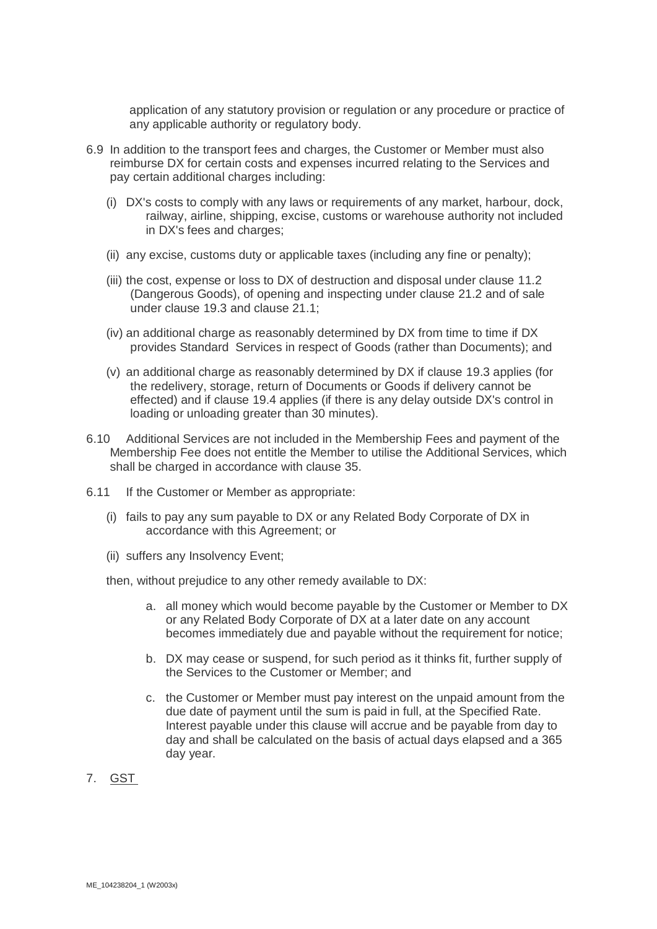application of any statutory provision or regulation or any procedure or practice of any applicable authority or regulatory body.

- <span id="page-8-1"></span>6.9 In addition to the transport fees and charges, the Customer or Member must also reimburse DX for certain costs and expenses incurred relating to the Services and pay certain additional charges including:
	- (i) DX's costs to comply with any laws or requirements of any market, harbour, dock, railway, airline, shipping, excise, customs or warehouse authority not included in DX's fees and charges;
	- (ii) any excise, customs duty or applicable taxes (including any fine or penalty);
	- (iii) the cost, expense or loss to DX of destruction and disposal under clause [11.2](#page-11-0) (Dangerous Goods), of opening and inspecting under clause [21.2](#page-16-0) and of sale under clause [19.3](#page-15-0) and clause [21.1;](#page-15-1)
	- (iv) an additional charge as reasonably determined by DX from time to time if DX provides Standard Services in respect of Goods (rather than Documents); and
	- (v) an additional charge as reasonably determined by DX if clause [19.3](#page-15-0) applies (for the redelivery, storage, return of Documents or Goods if delivery cannot be effected) and if clause [19.4](#page-15-2) applies (if there is any delay outside DX's control in loading or unloading greater than 30 minutes).
- 6.10 Additional Services are not included in the Membership Fees and payment of the Membership Fee does not entitle the Member to utilise the Additional Services, which shall be charged in accordance with clause [35.](#page-19-1)
- 6.11 If the Customer or Member as appropriate:
	- (i) fails to pay any sum payable to DX or any Related Body Corporate of DX in accordance with this Agreement; or
	- (ii) suffers any Insolvency Event;

then, without prejudice to any other remedy available to DX:

- a. all money which would become payable by the Customer or Member to DX or any Related Body Corporate of DX at a later date on any account becomes immediately due and payable without the requirement for notice;
- b. DX may cease or suspend, for such period as it thinks fit, further supply of the Services to the Customer or Member; and
- c. the Customer or Member must pay interest on the unpaid amount from the due date of payment until the sum is paid in full, at the Specified Rate. Interest payable under this clause will accrue and be payable from day to day and shall be calculated on the basis of actual days elapsed and a 365 day year.
- <span id="page-8-0"></span>7. GST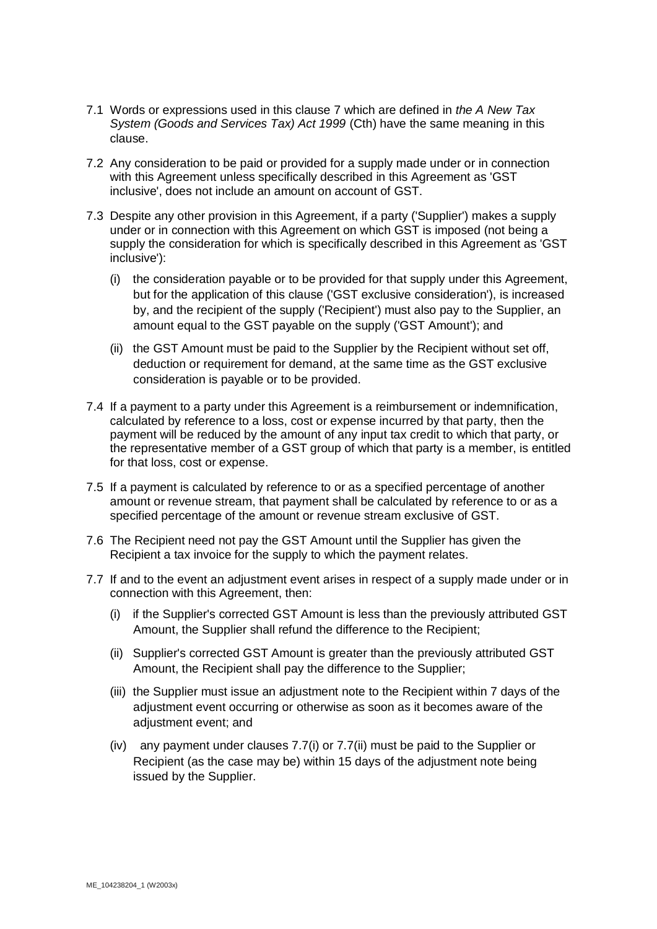- 7.1 Words or expressions used in this clause [7](#page-8-0) which are defined in *the A New Tax System (Goods and Services Tax) Act 1999* (Cth) have the same meaning in this clause.
- 7.2 Any consideration to be paid or provided for a supply made under or in connection with this Agreement unless specifically described in this Agreement as 'GST inclusive', does not include an amount on account of GST.
- 7.3 Despite any other provision in this Agreement, if a party ('Supplier') makes a supply under or in connection with this Agreement on which GST is imposed (not being a supply the consideration for which is specifically described in this Agreement as 'GST inclusive'):
	- (i) the consideration payable or to be provided for that supply under this Agreement, but for the application of this clause ('GST exclusive consideration'), is increased by, and the recipient of the supply ('Recipient') must also pay to the Supplier, an amount equal to the GST payable on the supply ('GST Amount'); and
	- (ii) the GST Amount must be paid to the Supplier by the Recipient without set off, deduction or requirement for demand, at the same time as the GST exclusive consideration is payable or to be provided.
- 7.4 If a payment to a party under this Agreement is a reimbursement or indemnification, calculated by reference to a loss, cost or expense incurred by that party, then the payment will be reduced by the amount of any input tax credit to which that party, or the representative member of a GST group of which that party is a member, is entitled for that loss, cost or expense.
- 7.5 If a payment is calculated by reference to or as a specified percentage of another amount or revenue stream, that payment shall be calculated by reference to or as a specified percentage of the amount or revenue stream exclusive of GST.
- 7.6 The Recipient need not pay the GST Amount until the Supplier has given the Recipient a tax invoice for the supply to which the payment relates.
- 7.7 If and to the event an adjustment event arises in respect of a supply made under or in connection with this Agreement, then:
	- (i) if the Supplier's corrected GST Amount is less than the previously attributed GST Amount, the Supplier shall refund the difference to the Recipient;
	- (ii) Supplier's corrected GST Amount is greater than the previously attributed GST Amount, the Recipient shall pay the difference to the Supplier;
	- (iii) the Supplier must issue an adjustment note to the Recipient within 7 days of the adjustment event occurring or otherwise as soon as it becomes aware of the adjustment event; and
	- (iv) any payment under clauses 7.7(i) or 7.7(ii) must be paid to the Supplier or Recipient (as the case may be) within 15 days of the adjustment note being issued by the Supplier.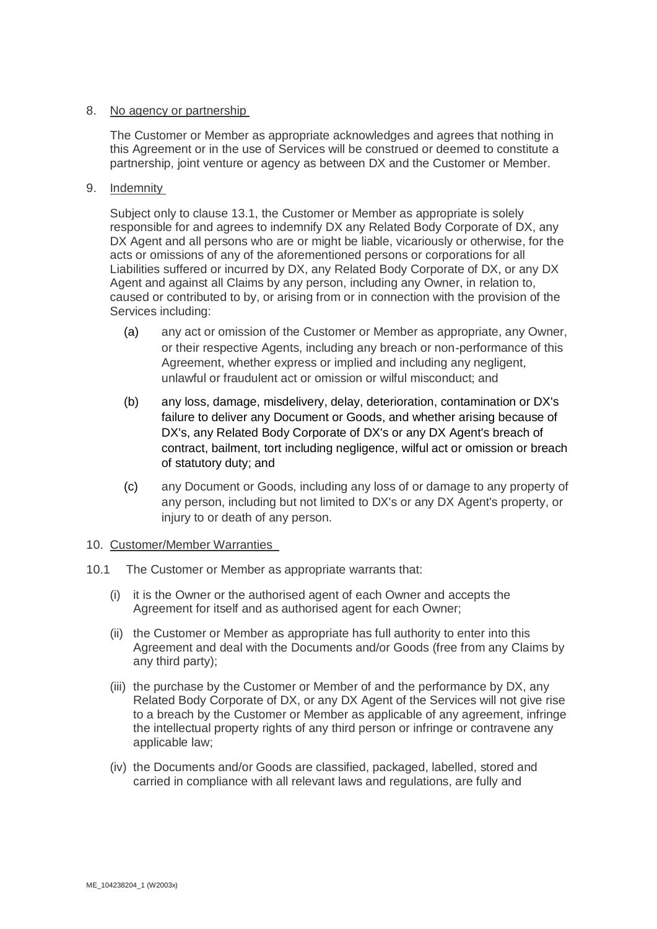# 8. No agency or partnership

The Customer or Member as appropriate acknowledges and agrees that nothing in this Agreement or in the use of Services will be construed or deemed to constitute a partnership, joint venture or agency as between DX and the Customer or Member.

# <span id="page-10-1"></span>9. Indemnity

Subject only to clause 13.1, the Customer or Member as appropriate is solely responsible for and agrees to indemnify DX any Related Body Corporate of DX, any DX Agent and all persons who are or might be liable, vicariously or otherwise, for the acts or omissions of any of the aforementioned persons or corporations for all Liabilities suffered or incurred by DX, any Related Body Corporate of DX, or any DX Agent and against all Claims by any person, including any Owner, in relation to, caused or contributed to by, or arising from or in connection with the provision of the Services including:

- (a) any act or omission of the Customer or Member as appropriate, any Owner, or their respective Agents, including any breach or non-performance of this Agreement, whether express or implied and including any negligent, unlawful or fraudulent act or omission or wilful misconduct; and
- (b) any loss, damage, misdelivery, delay, deterioration, contamination or DX's failure to deliver any Document or Goods, and whether arising because of DX's, any Related Body Corporate of DX's or any DX Agent's breach of contract, bailment, tort including negligence, wilful act or omission or breach of statutory duty; and
- (c) any Document or Goods, including any loss of or damage to any property of any person, including but not limited to DX's or any DX Agent's property, or injury to or death of any person.

# <span id="page-10-0"></span>10. Customer/Member Warranties

- 10.1 The Customer or Member as appropriate warrants that:
	- (i) it is the Owner or the authorised agent of each Owner and accepts the Agreement for itself and as authorised agent for each Owner;
	- (ii) the Customer or Member as appropriate has full authority to enter into this Agreement and deal with the Documents and/or Goods (free from any Claims by any third party);
	- (iii) the purchase by the Customer or Member of and the performance by DX, any Related Body Corporate of DX, or any DX Agent of the Services will not give rise to a breach by the Customer or Member as applicable of any agreement, infringe the intellectual property rights of any third person or infringe or contravene any applicable law;
	- (iv) the Documents and/or Goods are classified, packaged, labelled, stored and carried in compliance with all relevant laws and regulations, are fully and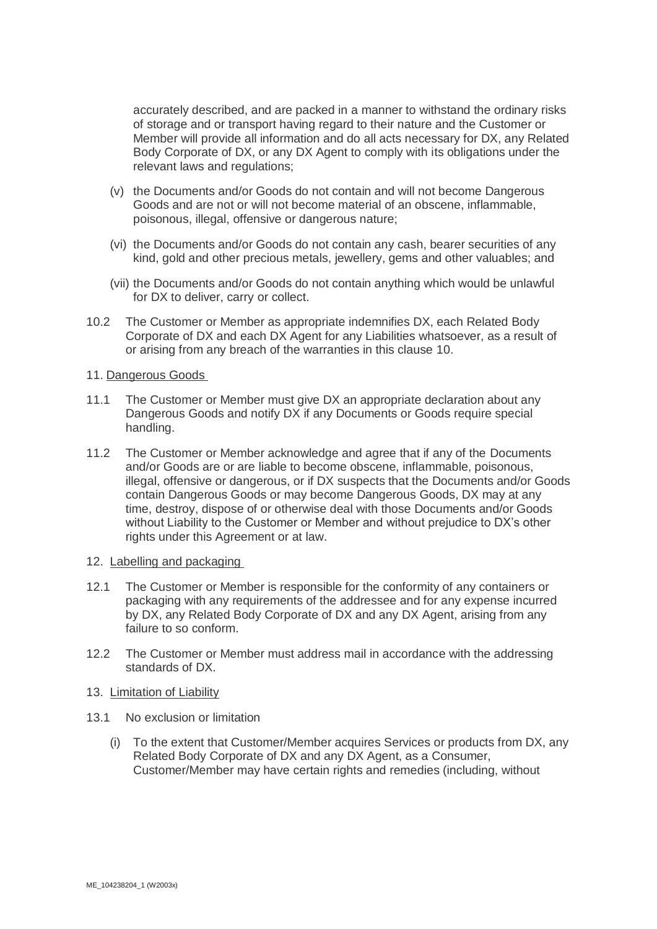accurately described, and are packed in a manner to withstand the ordinary risks of storage and or transport having regard to their nature and the Customer or Member will provide all information and do all acts necessary for DX, any Related Body Corporate of DX, or any DX Agent to comply with its obligations under the relevant laws and regulations;

- (v) the Documents and/or Goods do not contain and will not become Dangerous Goods and are not or will not become material of an obscene, inflammable, poisonous, illegal, offensive or dangerous nature;
- (vi) the Documents and/or Goods do not contain any cash, bearer securities of any kind, gold and other precious metals, jewellery, gems and other valuables; and
- (vii) the Documents and/or Goods do not contain anything which would be unlawful for DX to deliver, carry or collect.
- 10.2 The Customer or Member as appropriate indemnifies DX, each Related Body Corporate of DX and each DX Agent for any Liabilities whatsoever, as a result of or arising from any breach of the warranties in this clause [10.](#page-10-0)
- 11. Dangerous Goods
- 11.1 The Customer or Member must give DX an appropriate declaration about any Dangerous Goods and notify DX if any Documents or Goods require special handling.
- <span id="page-11-0"></span>11.2 The Customer or Member acknowledge and agree that if any of the Documents and/or Goods are or are liable to become obscene, inflammable, poisonous, illegal, offensive or dangerous, or if DX suspects that the Documents and/or Goods contain Dangerous Goods or may become Dangerous Goods, DX may at any time, destroy, dispose of or otherwise deal with those Documents and/or Goods without Liability to the Customer or Member and without prejudice to DX's other rights under this Agreement or at law.
- 12. Labelling and packaging
- 12.1 The Customer or Member is responsible for the conformity of any containers or packaging with any requirements of the addressee and for any expense incurred by DX, any Related Body Corporate of DX and any DX Agent, arising from any failure to so conform.
- 12.2 The Customer or Member must address mail in accordance with the addressing standards of DX.

# <span id="page-11-2"></span>13. Limitation of Liability

- <span id="page-11-1"></span>13.1 No exclusion or limitation
	- (i) To the extent that Customer/Member acquires Services or products from DX, any Related Body Corporate of DX and any DX Agent, as a Consumer, Customer/Member may have certain rights and remedies (including, without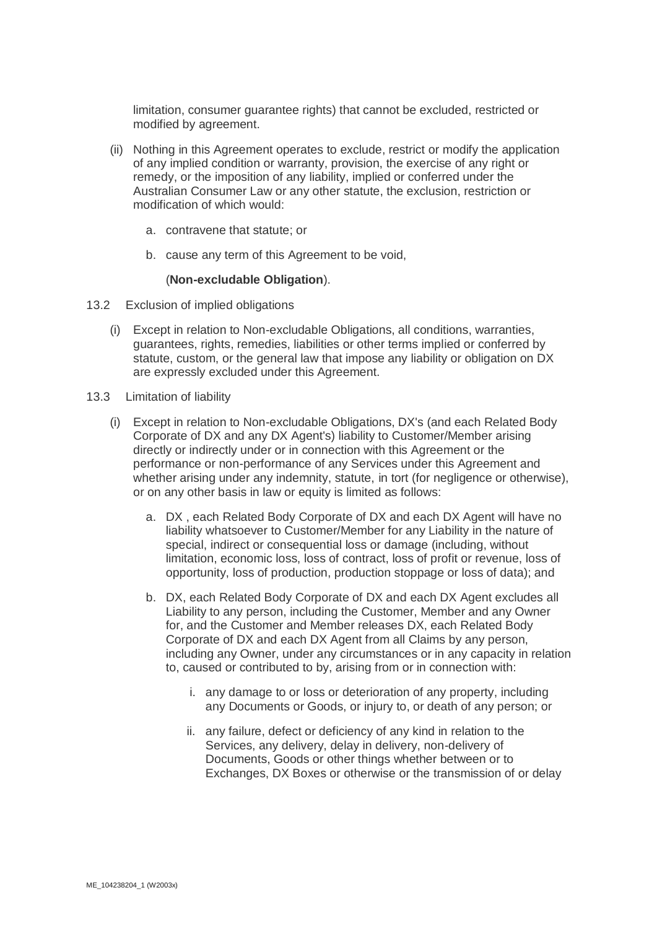limitation, consumer guarantee rights) that cannot be excluded, restricted or modified by agreement.

- (ii) Nothing in this Agreement operates to exclude, restrict or modify the application of any implied condition or warranty, provision, the exercise of any right or remedy, or the imposition of any liability, implied or conferred under the Australian Consumer Law or any other statute, the exclusion, restriction or modification of which would:
	- a. contravene that statute; or
	- b. cause any term of this Agreement to be void,

#### (**Non-excludable Obligation**).

- 13.2 Exclusion of implied obligations
	- (i) Except in relation to Non-excludable Obligations, all conditions, warranties, guarantees, rights, remedies, liabilities or other terms implied or conferred by statute, custom, or the general law that impose any liability or obligation on DX are expressly excluded under this Agreement.
- <span id="page-12-0"></span>13.3 Limitation of liability
	- (i) Except in relation to Non-excludable Obligations, DX's (and each Related Body Corporate of DX and any DX Agent's) liability to Customer/Member arising directly or indirectly under or in connection with this Agreement or the performance or non-performance of any Services under this Agreement and whether arising under any indemnity, statute, in tort (for negligence or otherwise), or on any other basis in law or equity is limited as follows:
		- a. DX , each Related Body Corporate of DX and each DX Agent will have no liability whatsoever to Customer/Member for any Liability in the nature of special, indirect or consequential loss or damage (including, without limitation, economic loss, loss of contract, loss of profit or revenue, loss of opportunity, loss of production, production stoppage or loss of data); and
		- b. DX, each Related Body Corporate of DX and each DX Agent excludes all Liability to any person, including the Customer, Member and any Owner for, and the Customer and Member releases DX, each Related Body Corporate of DX and each DX Agent from all Claims by any person, including any Owner, under any circumstances or in any capacity in relation to, caused or contributed to by, arising from or in connection with:
			- i. any damage to or loss or deterioration of any property, including any Documents or Goods, or injury to, or death of any person; or
			- ii. any failure, defect or deficiency of any kind in relation to the Services, any delivery, delay in delivery, non-delivery of Documents, Goods or other things whether between or to Exchanges, DX Boxes or otherwise or the transmission of or delay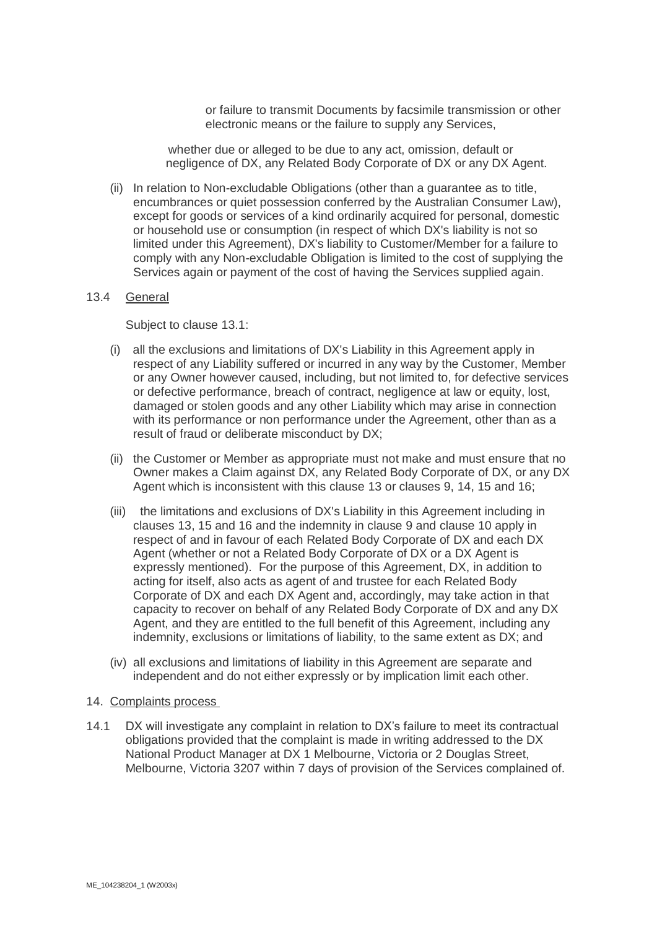or failure to transmit Documents by facsimile transmission or other electronic means or the failure to supply any Services,

whether due or alleged to be due to any act, omission, default or negligence of DX, any Related Body Corporate of DX or any DX Agent.

(ii) In relation to Non-excludable Obligations (other than a guarantee as to title, encumbrances or quiet possession conferred by the Australian Consumer Law), except for goods or services of a kind ordinarily acquired for personal, domestic or household use or consumption (in respect of which DX's liability is not so limited under this Agreement), DX's liability to Customer/Member for a failure to comply with any Non-excludable Obligation is limited to the cost of supplying the Services again or payment of the cost of having the Services supplied again.

# 13.4 General

Subject to clause [13.1:](#page-11-1)

- (i) all the exclusions and limitations of DX's Liability in this Agreement apply in respect of any Liability suffered or incurred in any way by the Customer, Member or any Owner however caused, including, but not limited to, for defective services or defective performance, breach of contract, negligence at law or equity, lost, damaged or stolen goods and any other Liability which may arise in connection with its performance or non performance under the Agreement, other than as a result of fraud or deliberate misconduct by DX;
- (ii) the Customer or Member as appropriate must not make and must ensure that no Owner makes a Claim against DX, any Related Body Corporate of DX, or any DX Agent which is inconsistent with this clause [13](#page-11-2) or clauses [9,](#page-10-1) [14,](#page-13-0) [15](#page-14-0) and [16;](#page-14-1)
- (iii) the limitations and exclusions of DX's Liability in this Agreement including in clauses [13,](#page-11-2) [15](#page-14-0) and [16](#page-14-1) and the indemnity in clause [9](#page-10-1) and clause [10](#page-10-0) apply in respect of and in favour of each Related Body Corporate of DX and each DX Agent (whether or not a Related Body Corporate of DX or a DX Agent is expressly mentioned). For the purpose of this Agreement, DX, in addition to acting for itself, also acts as agent of and trustee for each Related Body Corporate of DX and each DX Agent and, accordingly, may take action in that capacity to recover on behalf of any Related Body Corporate of DX and any DX Agent, and they are entitled to the full benefit of this Agreement, including any indemnity, exclusions or limitations of liability, to the same extent as DX; and
- (iv) all exclusions and limitations of liability in this Agreement are separate and independent and do not either expressly or by implication limit each other.

#### <span id="page-13-0"></span>14. Complaints process

14.1 DX will investigate any complaint in relation to DX's failure to meet its contractual obligations provided that the complaint is made in writing addressed to the DX National Product Manager at DX 1 Melbourne, Victoria or 2 Douglas Street, Melbourne, Victoria 3207 within 7 days of provision of the Services complained of.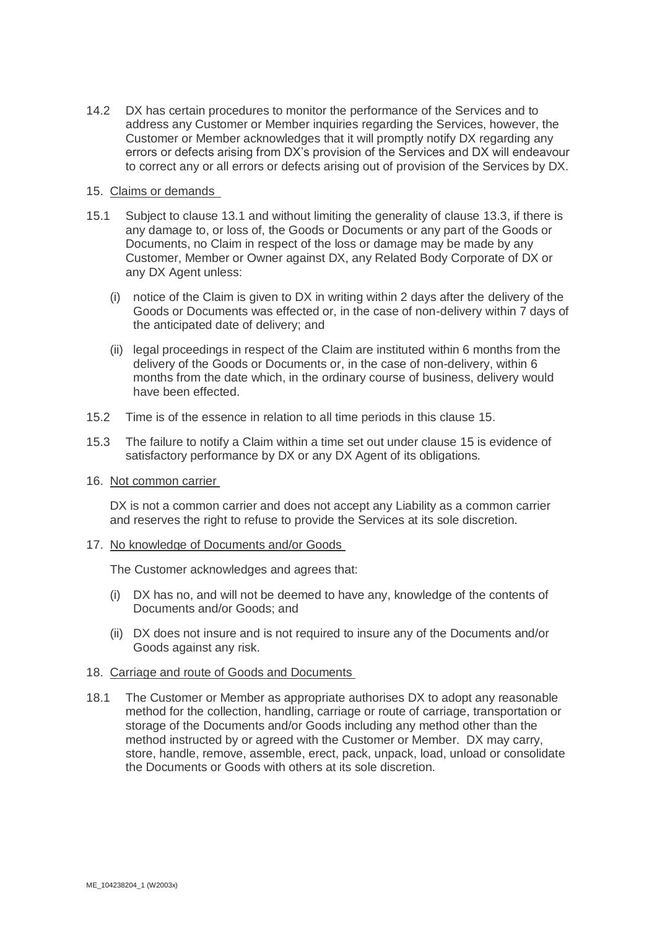14.2 DX has certain procedures to monitor the performance of the Services and to address any Customer or Member inquiries regarding the Services, however, the Customer or Member acknowledges that it will promptly notify DX regarding any errors or defects arising from DX's provision of the Services and DX will endeavour to correct any or all errors or defects arising out of provision of the Services by DX.

# <span id="page-14-0"></span>15. Claims or demands

- 15.1 Subject to clause [13.1](#page-11-1) and without limiting the generality of clause [13.3,](#page-12-0) if there is any damage to, or loss of, the Goods or Documents or any part of the Goods or Documents, no Claim in respect of the loss or damage may be made by any Customer, Member or Owner against DX, any Related Body Corporate of DX or any DX Agent unless:
	- (i) notice of the Claim is given to DX in writing within 2 days after the delivery of the Goods or Documents was effected or, in the case of non-delivery within 7 days of the anticipated date of delivery; and
	- (ii) legal proceedings in respect of the Claim are instituted within 6 months from the delivery of the Goods or Documents or, in the case of non-delivery, within 6 months from the date which, in the ordinary course of business, delivery would have been effected.
- 15.2 Time is of the essence in relation to all time periods in this clause [15.](#page-14-0)
- 15.3 The failure to notify a Claim within a time set out under clause [15](#page-14-0) is evidence of satisfactory performance by DX or any DX Agent of its obligations.
- <span id="page-14-1"></span>16. Not common carrier

DX is not a common carrier and does not accept any Liability as a common carrier and reserves the right to refuse to provide the Services at its sole discretion.

17. No knowledge of Documents and/or Goods

The Customer acknowledges and agrees that:

- (i) DX has no, and will not be deemed to have any, knowledge of the contents of Documents and/or Goods; and
- (ii) DX does not insure and is not required to insure any of the Documents and/or Goods against any risk.

# 18. Carriage and route of Goods and Documents

18.1 The Customer or Member as appropriate authorises DX to adopt any reasonable method for the collection, handling, carriage or route of carriage, transportation or storage of the Documents and/or Goods including any method other than the method instructed by or agreed with the Customer or Member. DX may carry, store, handle, remove, assemble, erect, pack, unpack, load, unload or consolidate the Documents or Goods with others at its sole discretion.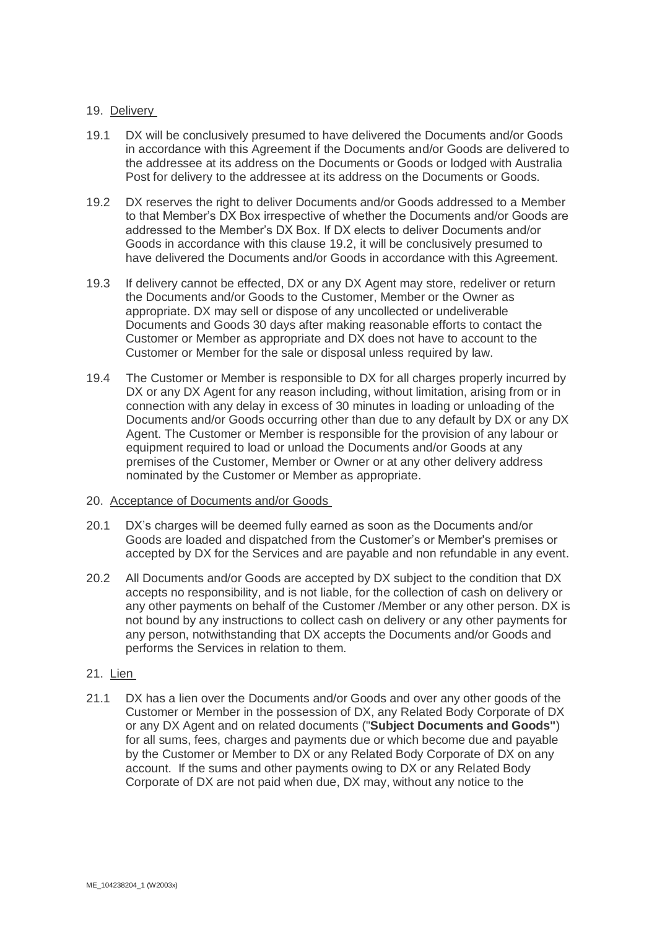# 19. Delivery

- 19.1 DX will be conclusively presumed to have delivered the Documents and/or Goods in accordance with this Agreement if the Documents and/or Goods are delivered to the addressee at its address on the Documents or Goods or lodged with Australia Post for delivery to the addressee at its address on the Documents or Goods.
- <span id="page-15-3"></span>19.2 DX reserves the right to deliver Documents and/or Goods addressed to a Member to that Member's DX Box irrespective of whether the Documents and/or Goods are addressed to the Member's DX Box. If DX elects to deliver Documents and/or Goods in accordance with this clause [19.2,](#page-15-3) it will be conclusively presumed to have delivered the Documents and/or Goods in accordance with this Agreement.
- <span id="page-15-0"></span>19.3 If delivery cannot be effected, DX or any DX Agent may store, redeliver or return the Documents and/or Goods to the Customer, Member or the Owner as appropriate. DX may sell or dispose of any uncollected or undeliverable Documents and Goods 30 days after making reasonable efforts to contact the Customer or Member as appropriate and DX does not have to account to the Customer or Member for the sale or disposal unless required by law.
- <span id="page-15-2"></span>19.4 The Customer or Member is responsible to DX for all charges properly incurred by DX or any DX Agent for any reason including, without limitation, arising from or in connection with any delay in excess of 30 minutes in loading or unloading of the Documents and/or Goods occurring other than due to any default by DX or any DX Agent. The Customer or Member is responsible for the provision of any labour or equipment required to load or unload the Documents and/or Goods at any premises of the Customer, Member or Owner or at any other delivery address nominated by the Customer or Member as appropriate.
- 20. Acceptance of Documents and/or Goods
- 20.1 DX's charges will be deemed fully earned as soon as the Documents and/or Goods are loaded and dispatched from the Customer's or Member's premises or accepted by DX for the Services and are payable and non refundable in any event.
- 20.2 All Documents and/or Goods are accepted by DX subject to the condition that DX accepts no responsibility, and is not liable, for the collection of cash on delivery or any other payments on behalf of the Customer /Member or any other person. DX is not bound by any instructions to collect cash on delivery or any other payments for any person, notwithstanding that DX accepts the Documents and/or Goods and performs the Services in relation to them.

# 21. Lien

<span id="page-15-1"></span>21.1 DX has a lien over the Documents and/or Goods and over any other goods of the Customer or Member in the possession of DX, any Related Body Corporate of DX or any DX Agent and on related documents ("**Subject Documents and Goods"**) for all sums, fees, charges and payments due or which become due and payable by the Customer or Member to DX or any Related Body Corporate of DX on any account. If the sums and other payments owing to DX or any Related Body Corporate of DX are not paid when due, DX may, without any notice to the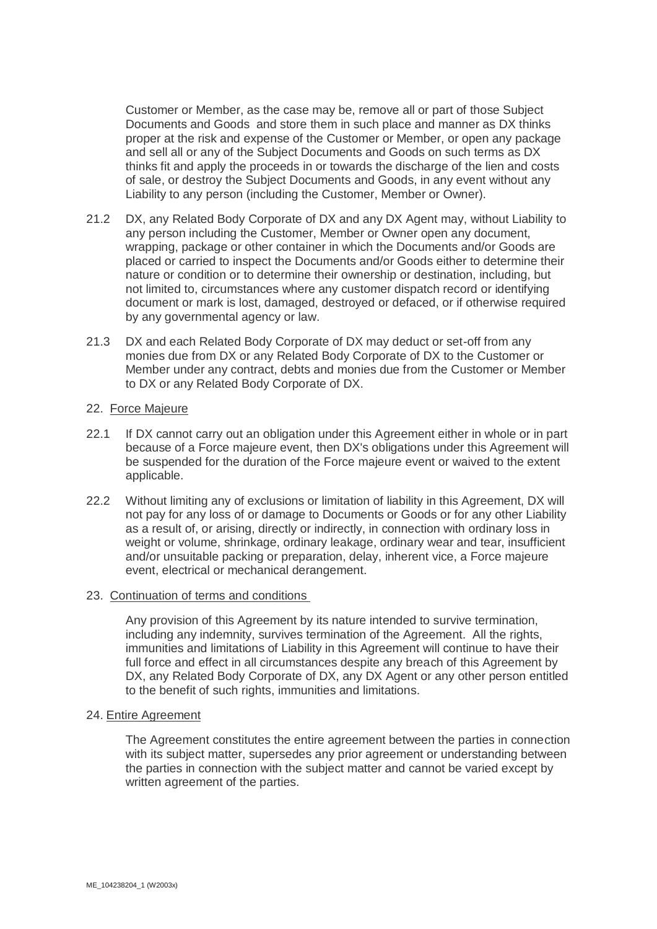Customer or Member, as the case may be, remove all or part of those Subject Documents and Goods and store them in such place and manner as DX thinks proper at the risk and expense of the Customer or Member, or open any package and sell all or any of the Subject Documents and Goods on such terms as DX thinks fit and apply the proceeds in or towards the discharge of the lien and costs of sale, or destroy the Subject Documents and Goods, in any event without any Liability to any person (including the Customer, Member or Owner).

- <span id="page-16-0"></span>21.2 DX, any Related Body Corporate of DX and any DX Agent may, without Liability to any person including the Customer, Member or Owner open any document, wrapping, package or other container in which the Documents and/or Goods are placed or carried to inspect the Documents and/or Goods either to determine their nature or condition or to determine their ownership or destination, including, but not limited to, circumstances where any customer dispatch record or identifying document or mark is lost, damaged, destroyed or defaced, or if otherwise required by any governmental agency or law.
- 21.3 DX and each Related Body Corporate of DX may deduct or set-off from any monies due from DX or any Related Body Corporate of DX to the Customer or Member under any contract, debts and monies due from the Customer or Member to DX or any Related Body Corporate of DX.

# 22. Force Majeure

- 22.1 If DX cannot carry out an obligation under this Agreement either in whole or in part because of a Force majeure event, then DX's obligations under this Agreement will be suspended for the duration of the Force majeure event or waived to the extent applicable.
- 22.2 Without limiting any of exclusions or limitation of liability in this Agreement, DX will not pay for any loss of or damage to Documents or Goods or for any other Liability as a result of, or arising, directly or indirectly, in connection with ordinary loss in weight or volume, shrinkage, ordinary leakage, ordinary wear and tear, insufficient and/or unsuitable packing or preparation, delay, inherent vice, a Force majeure event, electrical or mechanical derangement.

# 23. Continuation of terms and conditions

Any provision of this Agreement by its nature intended to survive termination, including any indemnity, survives termination of the Agreement. All the rights, immunities and limitations of Liability in this Agreement will continue to have their full force and effect in all circumstances despite any breach of this Agreement by DX, any Related Body Corporate of DX, any DX Agent or any other person entitled to the benefit of such rights, immunities and limitations.

# 24. Entire Agreement

The Agreement constitutes the entire agreement between the parties in connection with its subject matter, supersedes any prior agreement or understanding between the parties in connection with the subject matter and cannot be varied except by written agreement of the parties.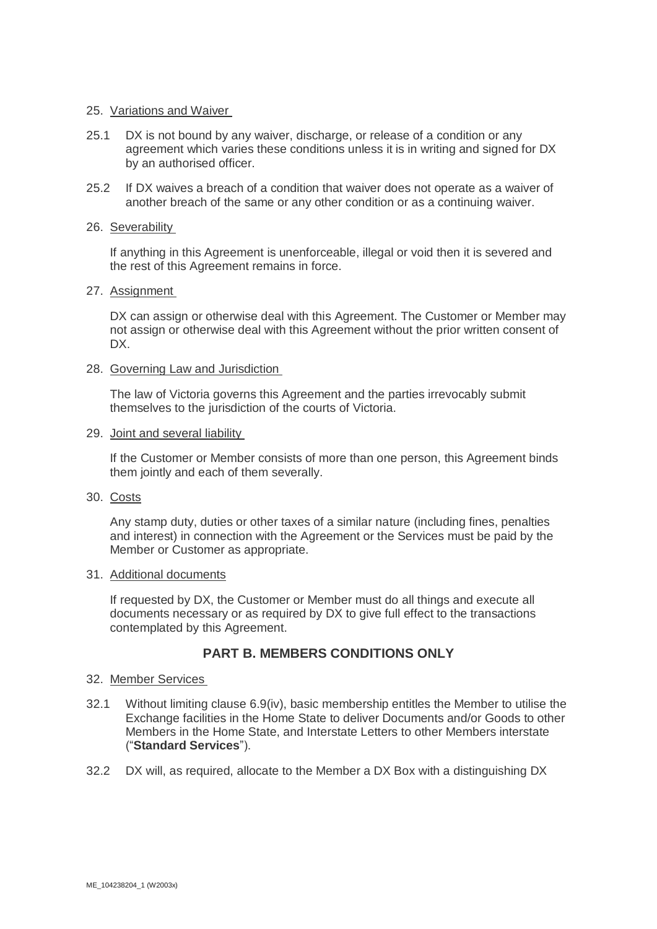### 25. Variations and Waiver

- 25.1 DX is not bound by any waiver, discharge, or release of a condition or any agreement which varies these conditions unless it is in writing and signed for DX by an authorised officer.
- 25.2 If DX waives a breach of a condition that waiver does not operate as a waiver of another breach of the same or any other condition or as a continuing waiver.

#### 26. Severability

If anything in this Agreement is unenforceable, illegal or void then it is severed and the rest of this Agreement remains in force.

#### 27. Assignment

DX can assign or otherwise deal with this Agreement. The Customer or Member may not assign or otherwise deal with this Agreement without the prior written consent of DX.

#### 28. Governing Law and Jurisdiction

The law of Victoria governs this Agreement and the parties irrevocably submit themselves to the jurisdiction of the courts of Victoria.

#### 29. Joint and several liability

If the Customer or Member consists of more than one person, this Agreement binds them jointly and each of them severally.

# 30. Costs

Any stamp duty, duties or other taxes of a similar nature (including fines, penalties and interest) in connection with the Agreement or the Services must be paid by the Member or Customer as appropriate.

# 31. Additional documents

If requested by DX, the Customer or Member must do all things and execute all documents necessary or as required by DX to give full effect to the transactions contemplated by this Agreement.

# **PART B. MEMBERS CONDITIONS ONLY**

# 32. Member Services

- <span id="page-17-0"></span>32.1 Without limiting clause [6.9\(iv\),](#page-8-1) basic membership entitles the Member to utilise the Exchange facilities in the Home State to deliver Documents and/or Goods to other Members in the Home State, and Interstate Letters to other Members interstate ("**Standard Services**").
- 32.2 DX will, as required, allocate to the Member a DX Box with a distinguishing DX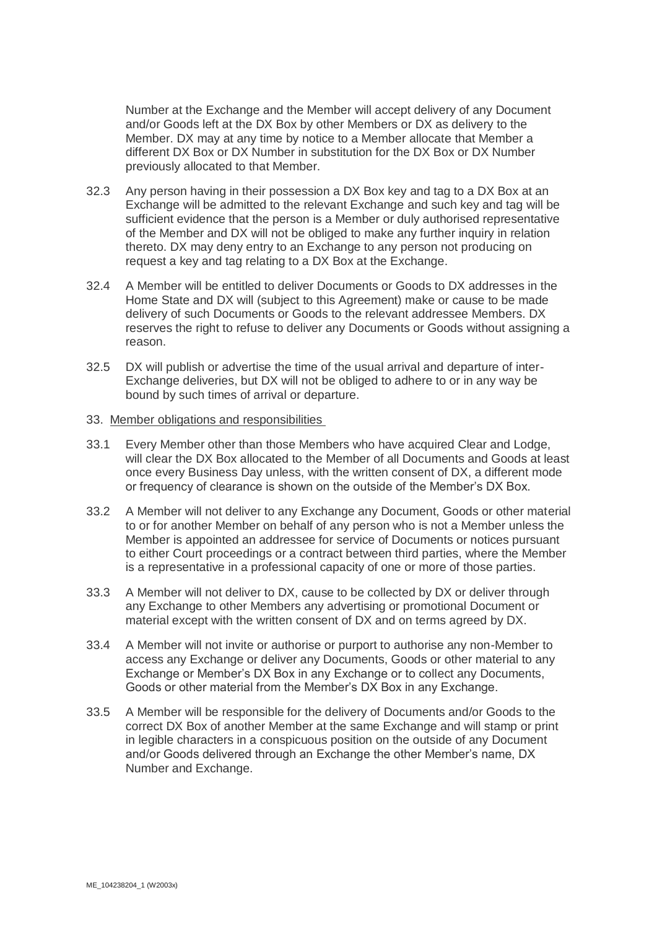Number at the Exchange and the Member will accept delivery of any Document and/or Goods left at the DX Box by other Members or DX as delivery to the Member. DX may at any time by notice to a Member allocate that Member a different DX Box or DX Number in substitution for the DX Box or DX Number previously allocated to that Member.

- 32.3 Any person having in their possession a DX Box key and tag to a DX Box at an Exchange will be admitted to the relevant Exchange and such key and tag will be sufficient evidence that the person is a Member or duly authorised representative of the Member and DX will not be obliged to make any further inquiry in relation thereto. DX may deny entry to an Exchange to any person not producing on request a key and tag relating to a DX Box at the Exchange.
- 32.4 A Member will be entitled to deliver Documents or Goods to DX addresses in the Home State and DX will (subject to this Agreement) make or cause to be made delivery of such Documents or Goods to the relevant addressee Members. DX reserves the right to refuse to deliver any Documents or Goods without assigning a reason.
- 32.5 DX will publish or advertise the time of the usual arrival and departure of inter-Exchange deliveries, but DX will not be obliged to adhere to or in any way be bound by such times of arrival or departure.
- 33. Member obligations and responsibilities
- 33.1 Every Member other than those Members who have acquired Clear and Lodge, will clear the DX Box allocated to the Member of all Documents and Goods at least once every Business Day unless, with the written consent of DX, a different mode or frequency of clearance is shown on the outside of the Member's DX Box.
- 33.2 A Member will not deliver to any Exchange any Document, Goods or other material to or for another Member on behalf of any person who is not a Member unless the Member is appointed an addressee for service of Documents or notices pursuant to either Court proceedings or a contract between third parties, where the Member is a representative in a professional capacity of one or more of those parties.
- 33.3 A Member will not deliver to DX, cause to be collected by DX or deliver through any Exchange to other Members any advertising or promotional Document or material except with the written consent of DX and on terms agreed by DX.
- 33.4 A Member will not invite or authorise or purport to authorise any non-Member to access any Exchange or deliver any Documents, Goods or other material to any Exchange or Member's DX Box in any Exchange or to collect any Documents, Goods or other material from the Member's DX Box in any Exchange.
- 33.5 A Member will be responsible for the delivery of Documents and/or Goods to the correct DX Box of another Member at the same Exchange and will stamp or print in legible characters in a conspicuous position on the outside of any Document and/or Goods delivered through an Exchange the other Member's name, DX Number and Exchange.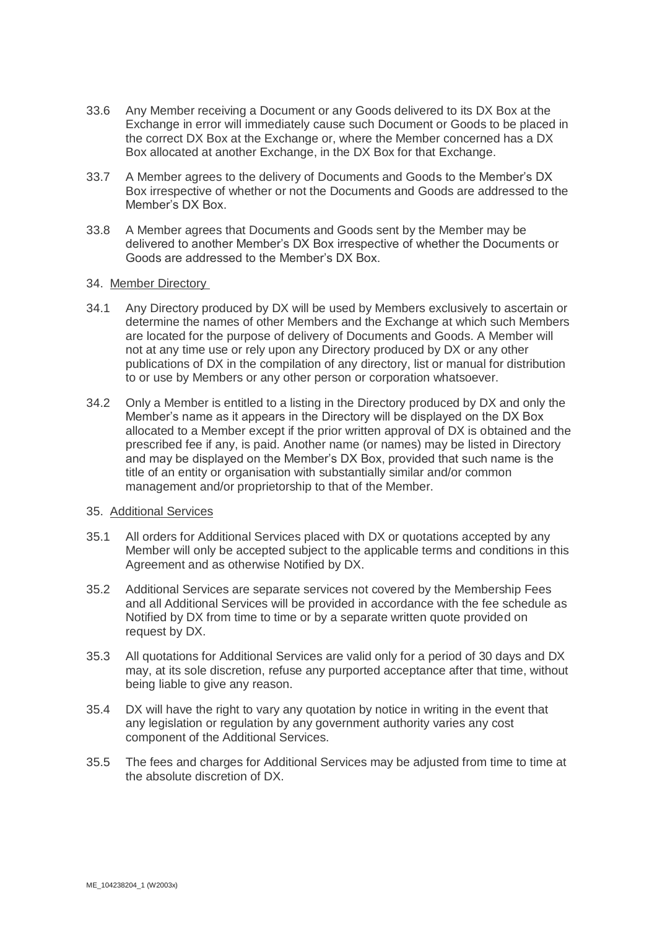- 33.6 Any Member receiving a Document or any Goods delivered to its DX Box at the Exchange in error will immediately cause such Document or Goods to be placed in the correct DX Box at the Exchange or, where the Member concerned has a DX Box allocated at another Exchange, in the DX Box for that Exchange.
- 33.7 A Member agrees to the delivery of Documents and Goods to the Member's DX Box irrespective of whether or not the Documents and Goods are addressed to the Member's DX Box.
- 33.8 A Member agrees that Documents and Goods sent by the Member may be delivered to another Member's DX Box irrespective of whether the Documents or Goods are addressed to the Member's DX Box.
- 34. Member Directory
- 34.1 Any Directory produced by DX will be used by Members exclusively to ascertain or determine the names of other Members and the Exchange at which such Members are located for the purpose of delivery of Documents and Goods. A Member will not at any time use or rely upon any Directory produced by DX or any other publications of DX in the compilation of any directory, list or manual for distribution to or use by Members or any other person or corporation whatsoever.
- 34.2 Only a Member is entitled to a listing in the Directory produced by DX and only the Member's name as it appears in the Directory will be displayed on the DX Box allocated to a Member except if the prior written approval of DX is obtained and the prescribed fee if any, is paid. Another name (or names) may be listed in Directory and may be displayed on the Member's DX Box, provided that such name is the title of an entity or organisation with substantially similar and/or common management and/or proprietorship to that of the Member.

# <span id="page-19-1"></span>35. Additional Services

- 35.1 All orders for Additional Services placed with DX or quotations accepted by any Member will only be accepted subject to the applicable terms and conditions in this Agreement and as otherwise Notified by DX.
- 35.2 Additional Services are separate services not covered by the Membership Fees and all Additional Services will be provided in accordance with the fee schedule as Notified by DX from time to time or by a separate written quote provided on request by DX.
- 35.3 All quotations for Additional Services are valid only for a period of 30 days and DX may, at its sole discretion, refuse any purported acceptance after that time, without being liable to give any reason.
- 35.4 DX will have the right to vary any quotation by notice in writing in the event that any legislation or regulation by any government authority varies any cost component of the Additional Services.
- <span id="page-19-0"></span>35.5 The fees and charges for Additional Services may be adjusted from time to time at the absolute discretion of DX.